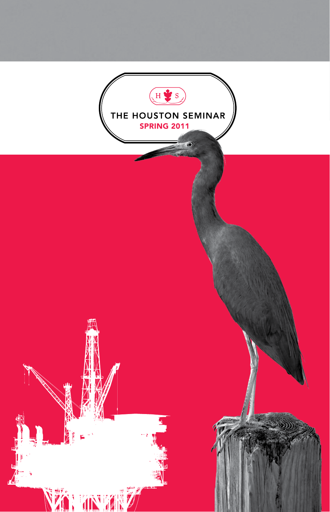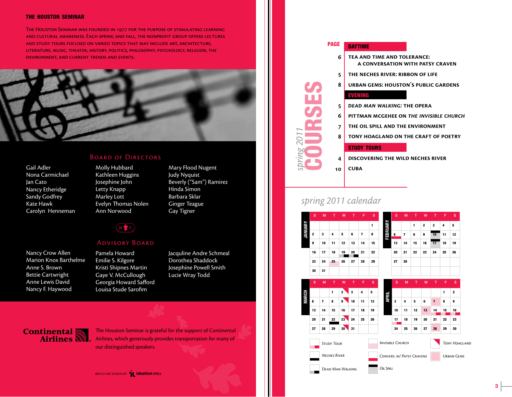#### the houston seminar

The Houston Seminar was founded in 1977 for the purpose of stimulating learning and cultural awareness. Each spring and fall, the nonprofit group offers lectures and study tours focused on varied topics that may include art, architecture, literature, music, theater, history, politics, philosophy, psychology, religion, the environment, and current trends and events.



#### Gail Adler Nona Carmichael Jan Cato Nancy Etheridge Sandy Godfrey Kate Hawk Carolyn Henneman

#### BOARD OF DIRECTORS

- Molly Hubbard Kathleen Huggins Josephine John Letty Knapp Marley Lott Evelyn Thomas Nolen Ann Norwood
- Mary Flood Nugent Judy Nyquist Beverly ("Sam") Ramirez Hinda Simon Barbara Sklar Ginger Teague Gay Tigner

#### $(H \bigcirc S)$

#### Advisory Board

Nancy Crow Allen Marion Knox Barthelme Anne S. Brown Bettie Cartwright Anne Lewis David Nancy F. Haywood

Pamela Howard Emilie S. Kilgore Kristi Shipnes Martin Gaye V. McCullough Georgia Howard Safford Louisa Stude Sarofim

Jacquline Andre Schmeal Dorothea Shaddock Josephine Powell Smith Lucie Wray Todd

## **Continental**<br>**Airlines**

The Houston Seminar is grateful for the support of Continental Airlines, which generously provides transportation for many of **our distinguished speakers.** Study Tourism is a study of the study of the study of the study of the study Tourism

#### **BROCHURE DESIGN BY 1 ideation ONER**



**discovering the wild neches river cuba 4 10**

### *spring 2011 calendar*

*spring 2011*

COURSES

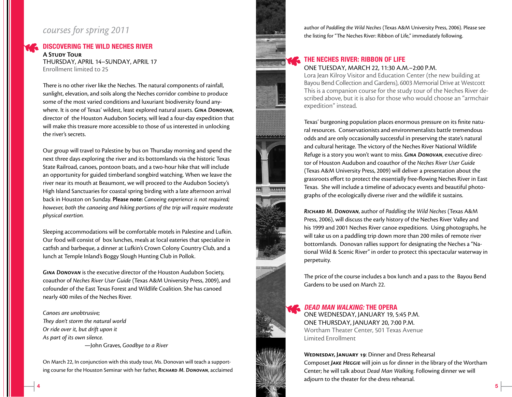#### *courses for spring 2011*

#### Discovering the Wild Neches River

**A Study Tour** Thursday, April 14–Sunday, April 17 Enrollment limited to 25

There is no other river like the Neches. The natural components of rainfall, sunlight, elevation, and soils along the Neches corridor combine to produce some of the most varied conditions and luxuriant biodiversity found anywhere. It is one of Texas' wildest, least explored natural assets. *Gina Donovan*, director of the Houston Audubon Society, will lead a four-day expedition that will make this treasure more accessible to those of us interested in unlocking the river's secrets.

Our group will travel to Palestine by bus on Thursday morning and spend the next three days exploring the river and its bottomlands via the historic Texas State Railroad, canoes, pontoon boats, and a two-hour hike that will include an opportunity for guided timberland songbird watching. When we leave the river near its mouth at Beaumont, we will proceed to the Audubon Society's High Island Sanctuaries for coastal spring birding with a late afternoon arrival back in Houston on Sunday. **Please note:** *Canoeing experience is not required; however, both the canoeing and hiking portions of the trip will require moderate physical exertion.*

Sleeping accommodations will be comfortable motels in Palestine and Lufkin. Our food will consist of box lunches, meals at local eateries that specialize in catfish and barbeque, a dinner at Lufkin's Crown Colony Country Club, and a lunch at Temple Inland's Boggy Slough Hunting Club in Pollok.

*Gina Donovan* is the executive director of the Houston Audubon Society, coauthor of *Neches River User Guide* (Texas A&M University Press, 2009), and cofounder of the East Texas Forest and Wildlife Coalition. She has canoed nearly 400 miles of the Neches River.

*Canoes are unobtrusive; They don't storm the natural world Or ride over it, but drift upon it As part of its own silence.* 

4

—John Graves, *Goodbye to a River*

On March 22, In conjunction with this study tour, Ms. Donovan will teach a supporting course for the Houston Seminar with her father, *Richard M. Donovan*, acclaimed author of *Paddling the Wild Neches* (Texas A&M University Press, 2006). Please see the listing for "The Neches River: Ribbon of Life," immediately following.

#### The Neches River: Ribbon of Life One Tuesday, March 22, 11:30 a.m.–2:00 p.m.

Lora Jean Kilroy Visitor and Education Center (the new building at Bayou Bend Collection and Gardens), 6003 Memorial Drive at Westcott This is a companion course for the study tour of the Neches River described above, but it is also for those who would choose an "armchair expedition" instead.

Texas' burgeoning population places enormous pressure on its finite natural resources. Conservationists and environmentalists battle tremendous odds and are only occasionally successful in preserving the state's natural and cultural heritage. The victory of the Neches River National Wildlife Refuge is a story you won't want to miss. *Gina Donovan*, executive director of Houston Audubon and coauthor of the *Neches River User Guide* (Texas A&M University Press, 2009) will deliver a presentation about the grassroots effort to protect the essentially free-flowing Neches River in East Texas. She will include a timeline of advocacy events and beautiful photographs of the ecologically diverse river and the wildlife it sustains.

*Richard M. Donovan*, author of *Paddling the Wild Neches* (Texas A&M Press, 2006), will discuss the early history of the Neches River Valley and his 1999 and 2001 Neches River canoe expeditions. Using photographs, he will take us on a paddling trip down more than 200 miles of remote river bottomlands. Donovan rallies support for designating the Neches a "National Wild & Scenic River" in order to protect this spectacular waterway in perpetuity.

The price of the course includes a box lunch and a pass to the Bayou Bend Gardens to be used on March 22.

#### *Dead Man Walking:* The Opera

One Wednesday, January 19, 5:45 p.m. One Thursday, January 20, 7:00 p.m. Wortham Theater Center, 501 Texas Avenue Limited Enrollment

#### **Wednesday, January 19**: Dinner and Dress Rehearsal

Composet *Jake Heggie* will join us for dinner in the library of the Wortham Center; he will talk about *Dead Man Walking*. Following dinner we will adjourn to the theater for the dress rehearsal.

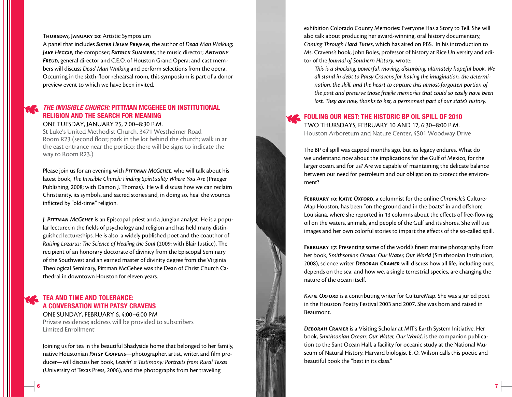#### **Thursday, January 20**: Artistic Symposium

A panel that includes *Sister Helen Prejean*, the author of *Dead Man Walking*; *Jake Heggie*, the composer; *Patrick Summers*, the music director; *Anthony Freud*, general director and C.E.O. of Houston Grand Opera; and cast members will discuss *Dead Man Walking* and perform selections from the opera. Occurring in the sixth-floor rehearsal room, this symposium is part of a donor preview event to which we have been invited.

#### *The Invisible Church:* Pittman McGehee on Institutional Religion and the Search for Meaning

#### One Tuesday, January 25, 7:00–8:30 p.m.

St Luke's United Methodist Church, 3471 Westheimer Road Room R23 (second floor; park in the lot behind the church; walk in at the east entrance near the portico; there will be signs to indicate the way to Room R23.)

Please join us for an evening with **PITTMAN MCGEHEE**, who will talk about his latest book, *The Invisible Church: Finding Spirituality Where You Are* (Praeger Publishing, 2008; with Damon J. Thomas). He will discuss how we can reclaim Christianity, its symbols, and sacred stories and, in doing so, heal the wounds inflicted by "old-time" religion.

*J. Pittman McGehee* is an Episcopal priest and a Jungian analyst. He is a popular lecturer.in the fields of psychology and religion and has held many distinguished lectureships. He is also a widely published poet and the coauthor of *Raising Lazarus: The Science of Healing the Soul* (2009; with Blair Justice). The recipient of an honorary doctorate of divinity from the Episcopal Seminary of the Southwest and an earned master of divinity degree from the Virginia Theological Seminary, Pittman McGehee was the Dean of Christ Church Cathedral in downtown Houston for eleven years.

#### **TEA AND TIME AND TOLERANCE:** A Conversation with Patsy Cravens

One Sunday, February 6, 4:00–6:00 pm Private residence; address will be provided to subscribers Limited Enrollment

Joining us for tea in the beautiful Shadyside home that belonged to her family, native Houstonian *Patsy Cravens*—photographer, artist, writer, and film producer—will discuss her book, *Leavin' a Testimony: Portraits from Rural Texas* (University of Texas Press, 2006), and the photographs from her traveling

exhibition Colorado County Memories: Everyone Has a Story to Tell. She will also talk about producing her award-winning, oral history documentary, *Coming Through Hard Times*, which has aired on PBS. In his introduction to Ms. Cravens's book, John Boles, professor of history at Rice University and editor of the *Journal of Southern History*, wrote:

*This is a shocking, powerful, moving, disturbing, ultimately hopeful book. We all stand in debt to Patsy Cravens for having the imagination, the determination, the skill, and the heart to capture this almost-forgotten portion of the past and preserve those fragile memories that could so easily have been lost. They are now, thanks to her, a permanent part of our state's history.*

#### FOULING OUR NEST: THE HISTORIC BP OIL SPILL OF 2010 Two Thursdays, February 10 and 17, 6:30–8:00 p.m.

Houston Arboretum and Nature Center, 4501 Woodway Drive

The BP oil spill was capped months ago, but its legacy endures. What do we understand now about the implications for the Gulf of Mexico, for the larger ocean, and for us? Are we capable of maintaining the delicate balance between our need for petroleum and our obligation to protect the environment?

**February 10**: *Katie Oxford*, a columnist for the online *Chronicle's* Culture-Map Houston, has been "on the ground and in the boats" in and offshore Louisiana, where she reported in 13 columns about the effects of free-flowing oil on the waters, animals, and people of the Gulf and its shores. She will use images and her own colorful stories to impart the effects of the so-called spill.

**February 17**: Presenting some of the world's finest marine photography from her book, *Smithsonian Ocean: Our Water, Our World* (Smithsonian Institution, 2008), science writer *Deborah Cramer* will discuss how all life, including ours, depends on the sea, and how we, a single terrestrial species, are changing the nature of the ocean itself.

*Katie Oxford* is a contributing writer for CultureMap. She was a juried poet in the Houston Poetry Festival 2003 and 2007. She was born and raised in Beaumont.

*Deborah Cramer* is a Visiting Scholar at MIT's Earth System Initiative. Her book, *Smithsonian Ocean: Our Water, Our World*, is the companion publication to the Sant Ocean Hall, a facility for oceanic study at the National Museum of Natural History. Harvard biologist E. O. Wilson calls this poetic and beautiful book the "best in its class."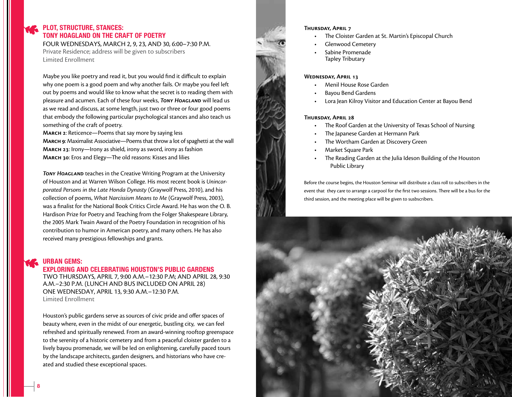#### PLOT, STRUCTURE, STANCES: Tony Hoagland on the Craft of Poetry

Four Wednesdays, March 2, 9, 23, and 30, 6:00–7:30 p.m. Private Residence; address will be given to subscribers Limited Enrollment

Maybe you like poetry and read it, but you would find it difficult to explain why one poem is a good poem and why another fails. Or maybe you feel left out by poems and would like to know what the secret is to reading them with pleasure and acumen. Each of these four weeks, *Tony Hoagland* will lead us as we read and discuss, at some length, just two or three or four good poems that embody the following particular psychological stances and also teach us something of the craft of poetry.

**March 2**: Reticence—Poems that say more by saying less

**March 9**: Maximalist Associative—Poems that throw a lot of spaghetti at the wall **March 23**: Irony—Irony as shield, irony as sword, irony as fashion **March 30**: Eros and Elegy—The old reasons: Kisses and lilies

**TONY HOAGLAND** teaches in the Creative Writing Program at the University of Houston and at Warren Wilson College. His most recent book is *Unincorporated Persons in the Late Honda Dynasty* (Graywolf Press, 2010), and his collection of poems, *What Narcissism Means to Me* (Graywolf Press, 2003), was a finalist for the National Book Critics Circle Award. He has won the O. B. Hardison Prize for Poetry and Teaching from the Folger Shakespeare Library, the 2005 Mark Twain Award of the Poetry Foundation in recognition of his contribution to humor in American poetry, and many others. He has also received many prestigious fellowships and grants.

#### **URBAN GEMS:**

#### Exploring and Celebrating Houston's Public Gardens

Two Thursdays, April 7, 9:00 a.m.–12:30 p.m; and April 28, 9:30 a.m.–2:30 p.m. (lunch and bus included on April 28) One Wednesday, April 13, 9:30 a.m.–12:30 p.m. Limited Enrollment

Houston's public gardens serve as sources of civic pride and offer spaces of beauty where, even in the midst of our energetic, bustling city, we can feel refreshed and spiritually renewed. From an award-winning rooftop greenspace to the serenity of a historic cemetery and from a peaceful cloister garden to a lively bayou promenade, we will be led on enlightening, carefully paced tours by the landscape architects, garden designers, and historians who have created and studied these exceptional spaces.



#### The Cloister Garden at St. Martin's Episcopal Church

- Glenwood Cemetery
- Sabine Promenade Tapley Tributary

#### **Wednesday, April 13**

- **Menil House Rose Garden**
- **Bayou Bend Gardens**
- Lora Jean Kilroy Visitor and Education Center at Bayou Bend

#### **Thursday, April 28**

- The Roof Garden at the University of Texas School of Nursing
- The Japanese Garden at Hermann Park
- The Wortham Garden at Discovery Green
- **Market Square Park**
- The Reading Garden at the Julia Ideson Building of the Houston Public Library

Before the course begins, the Houston Seminar will distribute a class roll to subscribers in the event that they care to arrange a carpool for the first two sessions. There will be a bus for the third session, and the meeting place will be given to susbscribers.

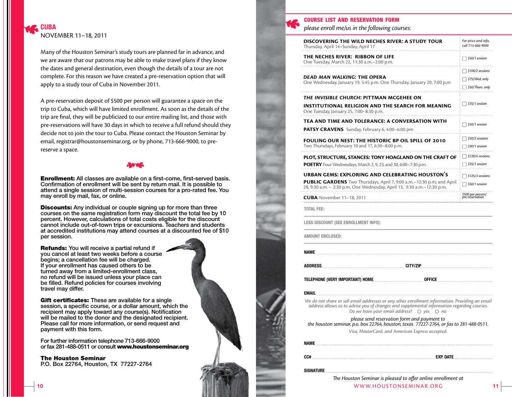Many of the Houston Seminar's study tours are planned far in advance, and we are aware that our patrons may be able to make travel plans if they know the dates and general destination, even though the details of a tour are not complete. For this reason we have created a pre-reservation option that will apply to a study tour of Cuba in November 2011.

A pre-reservation deposit of \$500 per person will guarantee a space on the trip to Cuba, which will have limited enrollment. As soon as the details of the trip are final, they will be publicized to our entire mailing list, and those with pre-reservations will have 30 days in which to receive a full refund should they decide not to join the tour to Cuba. Please contact the Houston Seminar by email, registrar@houstonseminar.org, or by phone, 713-666-9000, to prereserve a space.

**Enrollment:** All classes are available on a first-come, first-served basis. Confirmation of enrollment will be sent by return mail. It is possible to attend a single session of multi-session courses for a pro-rated fee. You may enroll by mail, fax, or online.

**Discounts:** Any individual or couple signing up for more than three courses on the same registration form may discount the total fee by 10 percent. However, calculations of total costs eligible for the discount cannot include out-of-town trips or excursions. Teachers and students at accredited institutions may attend courses at a discounted fee of \$10 per session.

Refunds: You will receive a partial refund if you cancel at least two weeks before a course begins; a cancellation fee will be charged. If your enrollment has caused others to be turned away from a limited-enrollment class, no refund will be issued unless your place can be filled. Refund policies for courses involving travel may differ.

Gift certificates: These are available for a single session, a specific course, or a dollar amount, which the recipient may apply toward any course(s). Notification will be mailed to the donor and the designated recipient. Please call for more information, or send request and payment with this form.

For further information telephone 713-666-9000 or fax 281-488-0511 or consult www.houstonseminar.org

The Houston Seminar P.O. Box 22764, Houston, TX 77227-2764



#### course list and reservation form

*please enroll me/us in the following courses:*

| DISCOVERING THE WILD NECHES RIVER: A STUDY TOUR<br>Thursday, April 14-Sunday, April 17                                                                                                                                                                       | For price and info,<br>call 713-666-9000 |
|--------------------------------------------------------------------------------------------------------------------------------------------------------------------------------------------------------------------------------------------------------------|------------------------------------------|
| THE NECHES RIVER: RIBBON OF LIFE<br>One Tuesday, March 22, 11:30 a.m. - 2:00 p.m.                                                                                                                                                                            | \$50/1 session                           |
|                                                                                                                                                                                                                                                              | \$100/2 sessions                         |
| DEAD MAN WALKING: THE OPERA<br>One Wednesday, January 19, 5:45 p.m. One Thursday, January 20, 7:00 p.m                                                                                                                                                       | \$75/Wed. only<br>\$50/Thurs. only       |
| THE INVISIBLE CHURCH: PITTMAN MCGEHEE ON<br>INSTITUTIONAL RELIGION AND THE SEARCH FOR MEANING<br>One Tuesday, January 25, 7:00-8:30 p.m.                                                                                                                     | \$35/1 session                           |
| TEA AND TIME AND TOLERANCE: A CONVERSATION WITH                                                                                                                                                                                                              |                                          |
| <b>PATSY CRAVENS</b> Sunday, February 6, 4:00–6:00 pm                                                                                                                                                                                                        | \$50/1 session                           |
| FOULING OUR NEST: THE HISTORIC BP OIL SPILL OF 2010<br>Two Thursdays, February 10 and 17, 6:30–8:00 p.m.                                                                                                                                                     | \$50/2 sessions<br>\$30/1 session        |
| PLOT, STRUCTURE, STANCES: TONY HOAGLAND ON THE CRAFT OF                                                                                                                                                                                                      | \$120/4 sessions                         |
| POETRY Four Wednesdays, March 2, 9, 23, and 30, 6:00-7:30 p.m.                                                                                                                                                                                               | \$35/1 session                           |
| <b>URBAN GEMS: EXPLORING AND CELEBRATING HOUSTON'S</b>                                                                                                                                                                                                       | \$125/3 sessions                         |
| <b>PUBLIC GARDENS</b> Two Thursdays, April 7, 9:00 a.m. -12:30 p.m; and April<br>28, 9:30 a.m. - 2:30 p.m. One Wednesday, April 13, 9:30 a.m. - 12:30 p.m.                                                                                                   | \$50/1 session                           |
| <b>CUBA</b> November 11-18, 2011                                                                                                                                                                                                                             | \$500 per person/<br>pre-reservation     |
| <b>TOTAL FEE:</b>                                                                                                                                                                                                                                            |                                          |
| <b>LESS DISCOUNT (SEE ENROLLMENT INFO):</b>                                                                                                                                                                                                                  |                                          |
| AMOUNT ENCLOSED:                                                                                                                                                                                                                                             |                                          |
| <b>NAME</b>                                                                                                                                                                                                                                                  |                                          |
| <b>ADDRESS</b><br><b>CITY/ZIP</b>                                                                                                                                                                                                                            |                                          |
| TELEPHONE (VERY IMPORTANT) HOME<br>OFFICE                                                                                                                                                                                                                    |                                          |
| <b>EMAIL</b>                                                                                                                                                                                                                                                 |                                          |
| We do not share or sell email addresses or any other enrollment information. Providing an email<br>address allows us to advise you of changes and supplemental information regarding courses.<br>Do we have your email address? $\bigcirc$ yes $\bigcirc$ no |                                          |
| please send reservation form and payment to<br>the houston seminar, p.o. box 22764, houston, texas 77227-2764, or fax to 281-488-0511.                                                                                                                       |                                          |
| Visa, MasterCard, and American Express accepted.                                                                                                                                                                                                             |                                          |
| <b>NAME</b>                                                                                                                                                                                                                                                  |                                          |
|                                                                                                                                                                                                                                                              |                                          |
| <b>SIGNATURE</b>                                                                                                                                                                                                                                             |                                          |
| The Houston Seminar is pleased to offer online enrollment at                                                                                                                                                                                                 |                                          |
| WWW.HOUSTONSEMINAR.ORG                                                                                                                                                                                                                                       |                                          |